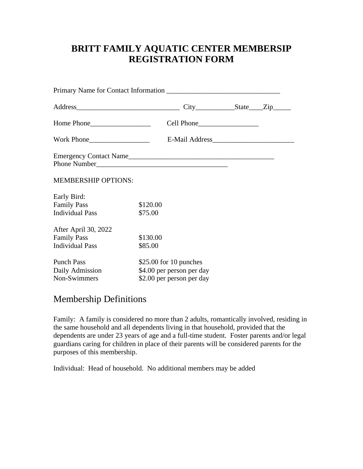## **BRITT FAMILY AQUATIC CENTER MEMBERSIP REGISTRATION FORM**

|                                                                      |                                                                                   | $City$ $State$ $Zip$ |  |  |
|----------------------------------------------------------------------|-----------------------------------------------------------------------------------|----------------------|--|--|
|                                                                      |                                                                                   |                      |  |  |
|                                                                      |                                                                                   |                      |  |  |
| Emergency Contact Name                                               |                                                                                   |                      |  |  |
| <b>MEMBERSHIP OPTIONS:</b>                                           |                                                                                   |                      |  |  |
| Early Bird:<br><b>Family Pass</b><br><b>Individual Pass</b>          | \$120.00<br>\$75.00                                                               |                      |  |  |
| After April 30, 2022<br><b>Family Pass</b><br><b>Individual Pass</b> | \$130.00<br>\$85.00                                                               |                      |  |  |
| <b>Punch Pass</b><br>Daily Admission<br>Non-Swimmers                 | $$25.00$ for 10 punches<br>\$4.00 per person per day<br>\$2.00 per person per day |                      |  |  |

## Membership Definitions

Family: A family is considered no more than 2 adults, romantically involved, residing in the same household and all dependents living in that household, provided that the dependents are under 23 years of age and a full-time student. Foster parents and/or legal guardians caring for children in place of their parents will be considered parents for the purposes of this membership.

Individual: Head of household. No additional members may be added